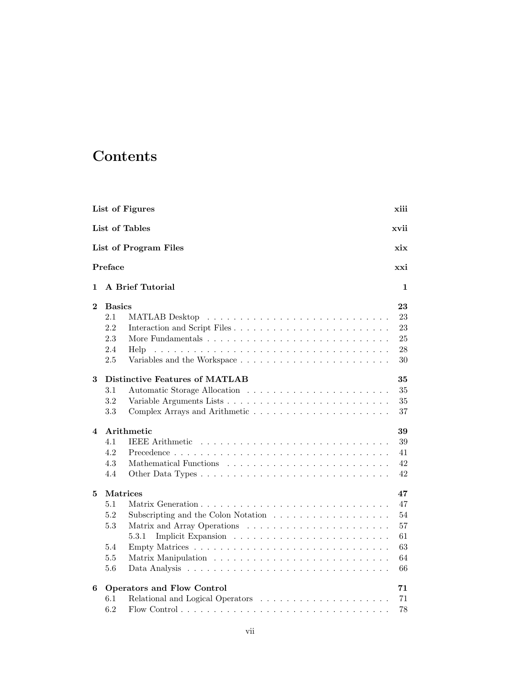## **Contents**

|                  | List of Figures                                                                                                                    | xiii                                   |
|------------------|------------------------------------------------------------------------------------------------------------------------------------|----------------------------------------|
|                  | List of Tables                                                                                                                     | xvii                                   |
|                  | List of Program Files                                                                                                              | xix                                    |
|                  | Preface                                                                                                                            | xxi                                    |
| 1                | <b>A Brief Tutorial</b>                                                                                                            | 1                                      |
| $\mathbf 2$      | <b>Basics</b>                                                                                                                      | 23                                     |
|                  | 2.1<br>2.2<br>2.3<br>2.4<br>Help                                                                                                   | 23<br>23<br>25<br>28                   |
|                  | 2.5                                                                                                                                | 30                                     |
| 3                | Distinctive Features of MATLAB<br>$3.1\,$<br>3.2<br>3.3                                                                            | 35<br>35<br>35<br>37                   |
| $\boldsymbol{4}$ | Arithmetic                                                                                                                         | 39                                     |
|                  | 4.1<br><b>IEEE</b> Arithmetic<br>4.2<br>4.3<br>4.4                                                                                 | 39<br>41<br>$42\,$<br>42               |
| 5                | <b>Matrices</b>                                                                                                                    | 47                                     |
|                  | 5.1<br>5.2<br>Subscripting and the Colon Notation $\ldots \ldots \ldots \ldots \ldots \ldots$<br>5.3<br>5.3.1<br>5.4<br>5.5<br>5.6 | 47<br>54<br>57<br>61<br>63<br>64<br>66 |
| 6                | <b>Operators and Flow Control</b><br>6.1<br>6.2                                                                                    | 71<br>71<br>78                         |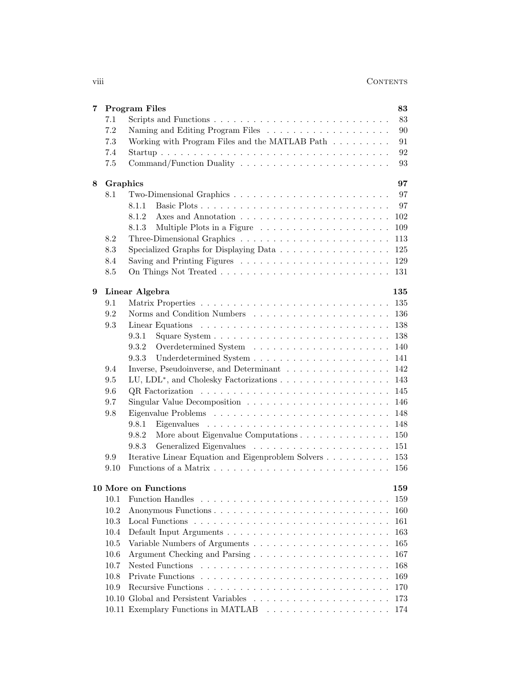| 83<br>7.1<br>7.2<br>90<br>Working with Program Files and the MATLAB Path $\ldots \ldots \ldots$<br>7.3<br>91<br>7.4<br>92<br>$7.5\,$<br>93<br>Graphics<br>97<br>8<br>97<br>8.1<br>97<br>8.1.1<br>$102\,$<br>8.1.2<br>109<br>8.1.3<br>8.2<br>113<br>8.3<br>125<br>129<br>8.4<br>8.5<br>131<br>Linear Algebra<br>9<br>135<br>9.1<br>135<br>9.2<br>136<br>9.3<br>138<br>9.3.1<br>138<br>9.3.2<br>140<br>9.3.3<br>141<br>9.4<br>Inverse, Pseudoinverse, and Determinant<br>142<br>LU, LDL <sup>*</sup> , and Cholesky Factorizations<br>9.5<br>143<br>145<br>9.6<br>9.7<br>146<br>9.8<br>148<br>9.8.1<br>148<br>9.8.2<br>More about Eigenvalue Computations<br>150<br>9.8.3<br>151<br>Iterative Linear Equation and Eigenproblem Solvers<br>9.9<br>153<br>9.10<br>156<br>159<br><b>10 More on Functions</b><br><b>Function Handles</b><br>10.1<br>159<br>10.2<br>160<br>10.3<br>161<br>10.4<br>163<br>10.5<br>165<br>10.6<br>Argument Checking and Parsing<br>167<br>10.7<br>168<br>169<br>10.8<br>10.9<br>170<br>173 | 7 | <b>Program Files</b> | 83 |
|-------------------------------------------------------------------------------------------------------------------------------------------------------------------------------------------------------------------------------------------------------------------------------------------------------------------------------------------------------------------------------------------------------------------------------------------------------------------------------------------------------------------------------------------------------------------------------------------------------------------------------------------------------------------------------------------------------------------------------------------------------------------------------------------------------------------------------------------------------------------------------------------------------------------------------------------------------------------------------------------------------------------|---|----------------------|----|
|                                                                                                                                                                                                                                                                                                                                                                                                                                                                                                                                                                                                                                                                                                                                                                                                                                                                                                                                                                                                                   |   |                      |    |
|                                                                                                                                                                                                                                                                                                                                                                                                                                                                                                                                                                                                                                                                                                                                                                                                                                                                                                                                                                                                                   |   |                      |    |
|                                                                                                                                                                                                                                                                                                                                                                                                                                                                                                                                                                                                                                                                                                                                                                                                                                                                                                                                                                                                                   |   |                      |    |
|                                                                                                                                                                                                                                                                                                                                                                                                                                                                                                                                                                                                                                                                                                                                                                                                                                                                                                                                                                                                                   |   |                      |    |
|                                                                                                                                                                                                                                                                                                                                                                                                                                                                                                                                                                                                                                                                                                                                                                                                                                                                                                                                                                                                                   |   |                      |    |
|                                                                                                                                                                                                                                                                                                                                                                                                                                                                                                                                                                                                                                                                                                                                                                                                                                                                                                                                                                                                                   |   |                      |    |
|                                                                                                                                                                                                                                                                                                                                                                                                                                                                                                                                                                                                                                                                                                                                                                                                                                                                                                                                                                                                                   |   |                      |    |
|                                                                                                                                                                                                                                                                                                                                                                                                                                                                                                                                                                                                                                                                                                                                                                                                                                                                                                                                                                                                                   |   |                      |    |
|                                                                                                                                                                                                                                                                                                                                                                                                                                                                                                                                                                                                                                                                                                                                                                                                                                                                                                                                                                                                                   |   |                      |    |
|                                                                                                                                                                                                                                                                                                                                                                                                                                                                                                                                                                                                                                                                                                                                                                                                                                                                                                                                                                                                                   |   |                      |    |
|                                                                                                                                                                                                                                                                                                                                                                                                                                                                                                                                                                                                                                                                                                                                                                                                                                                                                                                                                                                                                   |   |                      |    |
|                                                                                                                                                                                                                                                                                                                                                                                                                                                                                                                                                                                                                                                                                                                                                                                                                                                                                                                                                                                                                   |   |                      |    |
|                                                                                                                                                                                                                                                                                                                                                                                                                                                                                                                                                                                                                                                                                                                                                                                                                                                                                                                                                                                                                   |   |                      |    |
|                                                                                                                                                                                                                                                                                                                                                                                                                                                                                                                                                                                                                                                                                                                                                                                                                                                                                                                                                                                                                   |   |                      |    |
|                                                                                                                                                                                                                                                                                                                                                                                                                                                                                                                                                                                                                                                                                                                                                                                                                                                                                                                                                                                                                   |   |                      |    |
|                                                                                                                                                                                                                                                                                                                                                                                                                                                                                                                                                                                                                                                                                                                                                                                                                                                                                                                                                                                                                   |   |                      |    |
|                                                                                                                                                                                                                                                                                                                                                                                                                                                                                                                                                                                                                                                                                                                                                                                                                                                                                                                                                                                                                   |   |                      |    |
|                                                                                                                                                                                                                                                                                                                                                                                                                                                                                                                                                                                                                                                                                                                                                                                                                                                                                                                                                                                                                   |   |                      |    |
|                                                                                                                                                                                                                                                                                                                                                                                                                                                                                                                                                                                                                                                                                                                                                                                                                                                                                                                                                                                                                   |   |                      |    |
|                                                                                                                                                                                                                                                                                                                                                                                                                                                                                                                                                                                                                                                                                                                                                                                                                                                                                                                                                                                                                   |   |                      |    |
|                                                                                                                                                                                                                                                                                                                                                                                                                                                                                                                                                                                                                                                                                                                                                                                                                                                                                                                                                                                                                   |   |                      |    |
|                                                                                                                                                                                                                                                                                                                                                                                                                                                                                                                                                                                                                                                                                                                                                                                                                                                                                                                                                                                                                   |   |                      |    |
|                                                                                                                                                                                                                                                                                                                                                                                                                                                                                                                                                                                                                                                                                                                                                                                                                                                                                                                                                                                                                   |   |                      |    |
|                                                                                                                                                                                                                                                                                                                                                                                                                                                                                                                                                                                                                                                                                                                                                                                                                                                                                                                                                                                                                   |   |                      |    |
|                                                                                                                                                                                                                                                                                                                                                                                                                                                                                                                                                                                                                                                                                                                                                                                                                                                                                                                                                                                                                   |   |                      |    |
|                                                                                                                                                                                                                                                                                                                                                                                                                                                                                                                                                                                                                                                                                                                                                                                                                                                                                                                                                                                                                   |   |                      |    |
|                                                                                                                                                                                                                                                                                                                                                                                                                                                                                                                                                                                                                                                                                                                                                                                                                                                                                                                                                                                                                   |   |                      |    |
|                                                                                                                                                                                                                                                                                                                                                                                                                                                                                                                                                                                                                                                                                                                                                                                                                                                                                                                                                                                                                   |   |                      |    |
|                                                                                                                                                                                                                                                                                                                                                                                                                                                                                                                                                                                                                                                                                                                                                                                                                                                                                                                                                                                                                   |   |                      |    |
|                                                                                                                                                                                                                                                                                                                                                                                                                                                                                                                                                                                                                                                                                                                                                                                                                                                                                                                                                                                                                   |   |                      |    |
|                                                                                                                                                                                                                                                                                                                                                                                                                                                                                                                                                                                                                                                                                                                                                                                                                                                                                                                                                                                                                   |   |                      |    |
|                                                                                                                                                                                                                                                                                                                                                                                                                                                                                                                                                                                                                                                                                                                                                                                                                                                                                                                                                                                                                   |   |                      |    |
|                                                                                                                                                                                                                                                                                                                                                                                                                                                                                                                                                                                                                                                                                                                                                                                                                                                                                                                                                                                                                   |   |                      |    |
|                                                                                                                                                                                                                                                                                                                                                                                                                                                                                                                                                                                                                                                                                                                                                                                                                                                                                                                                                                                                                   |   |                      |    |
|                                                                                                                                                                                                                                                                                                                                                                                                                                                                                                                                                                                                                                                                                                                                                                                                                                                                                                                                                                                                                   |   |                      |    |
|                                                                                                                                                                                                                                                                                                                                                                                                                                                                                                                                                                                                                                                                                                                                                                                                                                                                                                                                                                                                                   |   |                      |    |
|                                                                                                                                                                                                                                                                                                                                                                                                                                                                                                                                                                                                                                                                                                                                                                                                                                                                                                                                                                                                                   |   |                      |    |
|                                                                                                                                                                                                                                                                                                                                                                                                                                                                                                                                                                                                                                                                                                                                                                                                                                                                                                                                                                                                                   |   |                      |    |
|                                                                                                                                                                                                                                                                                                                                                                                                                                                                                                                                                                                                                                                                                                                                                                                                                                                                                                                                                                                                                   |   |                      |    |
|                                                                                                                                                                                                                                                                                                                                                                                                                                                                                                                                                                                                                                                                                                                                                                                                                                                                                                                                                                                                                   |   |                      |    |
|                                                                                                                                                                                                                                                                                                                                                                                                                                                                                                                                                                                                                                                                                                                                                                                                                                                                                                                                                                                                                   |   |                      |    |
|                                                                                                                                                                                                                                                                                                                                                                                                                                                                                                                                                                                                                                                                                                                                                                                                                                                                                                                                                                                                                   |   |                      |    |
|                                                                                                                                                                                                                                                                                                                                                                                                                                                                                                                                                                                                                                                                                                                                                                                                                                                                                                                                                                                                                   |   |                      |    |
|                                                                                                                                                                                                                                                                                                                                                                                                                                                                                                                                                                                                                                                                                                                                                                                                                                                                                                                                                                                                                   |   |                      |    |
| 174                                                                                                                                                                                                                                                                                                                                                                                                                                                                                                                                                                                                                                                                                                                                                                                                                                                                                                                                                                                                               |   |                      |    |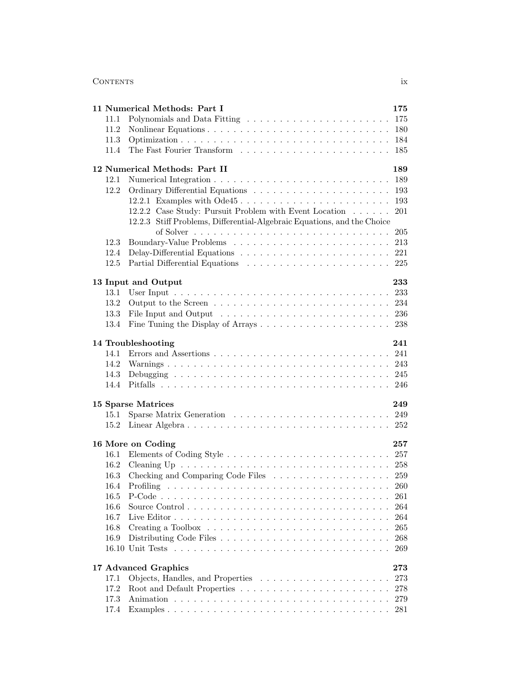## Contents ix

|      | 11 Numerical Methods: Part I<br>175                                                               |
|------|---------------------------------------------------------------------------------------------------|
| 11.1 |                                                                                                   |
| 11.2 | 180                                                                                               |
| 11.3 | 184                                                                                               |
| 11.4 | 185                                                                                               |
|      | 189<br>12 Numerical Methods: Part II                                                              |
| 12.1 | 189                                                                                               |
| 12.2 | 193                                                                                               |
|      | 12.2.1 Examples with Ode45<br>193                                                                 |
|      | 12.2.2 Case Study: Pursuit Problem with Event Location<br>201                                     |
|      | 12.2.3 Stiff Problems, Differential-Algebraic Equations, and the Choice                           |
|      | 205                                                                                               |
| 12.3 | 213                                                                                               |
| 12.4 | 221                                                                                               |
| 12.5 | 225                                                                                               |
|      |                                                                                                   |
|      | 13 Input and Output<br>233                                                                        |
| 13.1 | 233                                                                                               |
| 13.2 | 234                                                                                               |
| 13.3 | 236                                                                                               |
| 13.4 | 238                                                                                               |
|      |                                                                                                   |
|      | 14 Troubleshooting<br>241                                                                         |
| 14.1 |                                                                                                   |
| 14.2 | 243                                                                                               |
| 14.3 | 245                                                                                               |
| 14.4 | 246                                                                                               |
|      |                                                                                                   |
|      | 15 Sparse Matrices<br>249                                                                         |
| 15.1 |                                                                                                   |
| 15.2 |                                                                                                   |
|      |                                                                                                   |
|      | 16 More on Coding<br>257                                                                          |
| 16.1 |                                                                                                   |
| 16.2 |                                                                                                   |
| 16.3 | Checking and Comparing Code Files 259                                                             |
| 16.4 |                                                                                                   |
| 16.5 | 261                                                                                               |
| 16.6 | 264                                                                                               |
| 16.7 | 264                                                                                               |
|      |                                                                                                   |
| 16.8 | Creating a Toolbox $\ldots \ldots \ldots \ldots \ldots \ldots \ldots \ldots \ldots \ldots$<br>265 |
| 16.9 | 268                                                                                               |
|      | 269                                                                                               |
|      | 17 Advanced Graphics<br>$\bf 273$                                                                 |
| 17.1 | 273                                                                                               |
| 17.2 | 278                                                                                               |
| 17.3 | 279                                                                                               |
| 17.4 | 281                                                                                               |
|      |                                                                                                   |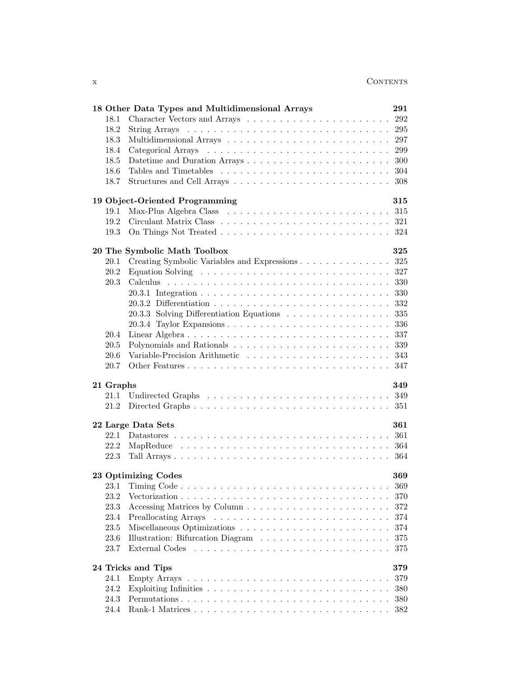|                           | 18 Other Data Types and Multidimensional Arrays                                   | 291 |  |  |
|---------------------------|-----------------------------------------------------------------------------------|-----|--|--|
| 18.1                      |                                                                                   | 292 |  |  |
| 18.2                      |                                                                                   | 295 |  |  |
| 18.3                      |                                                                                   | 297 |  |  |
| 18.4                      |                                                                                   | 299 |  |  |
| 18.5                      |                                                                                   | 300 |  |  |
| 18.6                      |                                                                                   | 304 |  |  |
| 18.7                      |                                                                                   | 308 |  |  |
|                           | 19 Object-Oriented Programming                                                    | 315 |  |  |
| 19.1                      |                                                                                   |     |  |  |
| 19.2                      |                                                                                   |     |  |  |
| 19.3                      |                                                                                   |     |  |  |
|                           |                                                                                   |     |  |  |
|                           | 20 The Symbolic Math Toolbox                                                      | 325 |  |  |
| 20.1                      | Creating Symbolic Variables and Expressions                                       | 325 |  |  |
| 20.2                      | Equation Solving $\ldots \ldots \ldots \ldots \ldots \ldots \ldots \ldots \ldots$ | 327 |  |  |
| $20.3\,$                  |                                                                                   | 330 |  |  |
|                           |                                                                                   | 330 |  |  |
|                           |                                                                                   | 332 |  |  |
|                           | 20.3.3 Solving Differentiation Equations                                          | 335 |  |  |
|                           |                                                                                   | 336 |  |  |
| 20.4                      | Linear Algebra                                                                    | 337 |  |  |
| $20.5\,$                  |                                                                                   | 339 |  |  |
| 20.6                      |                                                                                   | 343 |  |  |
| 20.7                      |                                                                                   | 347 |  |  |
| 21 Graphs                 |                                                                                   | 349 |  |  |
| 21.1                      |                                                                                   |     |  |  |
| 21.2                      |                                                                                   |     |  |  |
|                           | 22 Large Data Sets                                                                | 361 |  |  |
| 22.1                      |                                                                                   | 361 |  |  |
| 22.2                      |                                                                                   | 364 |  |  |
| 22.3                      |                                                                                   | 364 |  |  |
|                           |                                                                                   |     |  |  |
|                           | 23 Optimizing Codes                                                               | 369 |  |  |
| 23.1                      |                                                                                   | 369 |  |  |
| 23.2                      |                                                                                   | 370 |  |  |
| 23.3                      |                                                                                   | 372 |  |  |
| 23.4                      |                                                                                   | 374 |  |  |
| 23.5                      |                                                                                   | 374 |  |  |
| 23.6                      |                                                                                   | 375 |  |  |
| 23.7                      |                                                                                   | 375 |  |  |
| 24 Tricks and Tips<br>379 |                                                                                   |     |  |  |
| 24.1                      |                                                                                   | 379 |  |  |
| 24.2                      |                                                                                   | 380 |  |  |
| 24.3                      |                                                                                   | 380 |  |  |
| 24.4                      |                                                                                   | 382 |  |  |